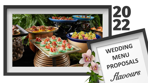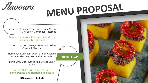*flavours* 

**APERITIV** 

In House, Smoked Trout, with Sour Cream & Chives on Cornmeal Flathread

Za'atar Hummus with Homemade Crispy Falafel on Tortilla Cups

Wonton Cups with Mango Salsa and Salted Caramel Chicken

Homemace Chicken Liver Pate on Crostini with Pickled Mustard and Microberbs

Blinis with Duck Confit And Sweet Chilly Sauce

Burrata Salad with Baby Spinach, Pomegranate and Herritage Tomatoes

350ar/pers - 14 EUR

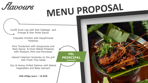*flavours* 

Confit Duck Leg with Red Cabbage and Orange & Star Anise Sauce

Coquelet Chicken with Dauphinoise Potatoes

Pork Tenderloin with Gorgonzola and Nuts Sauce & Oven Baked Potatoes with Mustard, Mint and Parmesan

Glazed Calamari tentacles on the grill with Fresh Thai Salad

Soy & Honey Grilled Salmon with Baked Vegetables and Baby Spinach

**400-450gr/pers – 16 EUR**



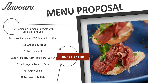*flavours* 

**BUFET EXTRA**

Our Romanian Famous Sarmale with Smoked Pork Leg

In House Marinated BBQ Spare Pork Ribs

Mixed Grilled Sausages

Grilled Halloumi

Babby Potatoes with Herbs and Butter

Grilled Vegetables with Feta

Mix Green Salad

**350gr/pers. – 16 EUR**

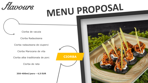*flavours* 

Ciorba de vacuta

Ciorba Radauteana

Ciorba radauteana de ciuperci

Ciorba Marocana de vita

Ciorba alba traditionala de porc

Ciorba de rata

**350-400ml/pers – 4,5 EUR**



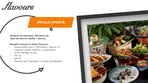*flavours* 

#### **DETALII OFERTĂ**

**Numărul de persoane: Minimum 50 Tipul de servire: Buffet / Service**

#### **Beneficii incluse în oferta Flavours:**

- Design Bufet Lemn // Minimalist // Natură vie
- Logistică (veselă, tacâmuri, consumabile)
- Event manager on site
- Set-up
- Set-off
- Meniurile pot fi ajustate, în funcție de preferințe



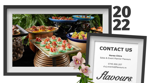#### **CONTACT US**

**20<br>22** 

**Horea Chira** Sales & Event Planner Flavours

0745.900.207 cluj.events@flavours.ro

*flavours*.